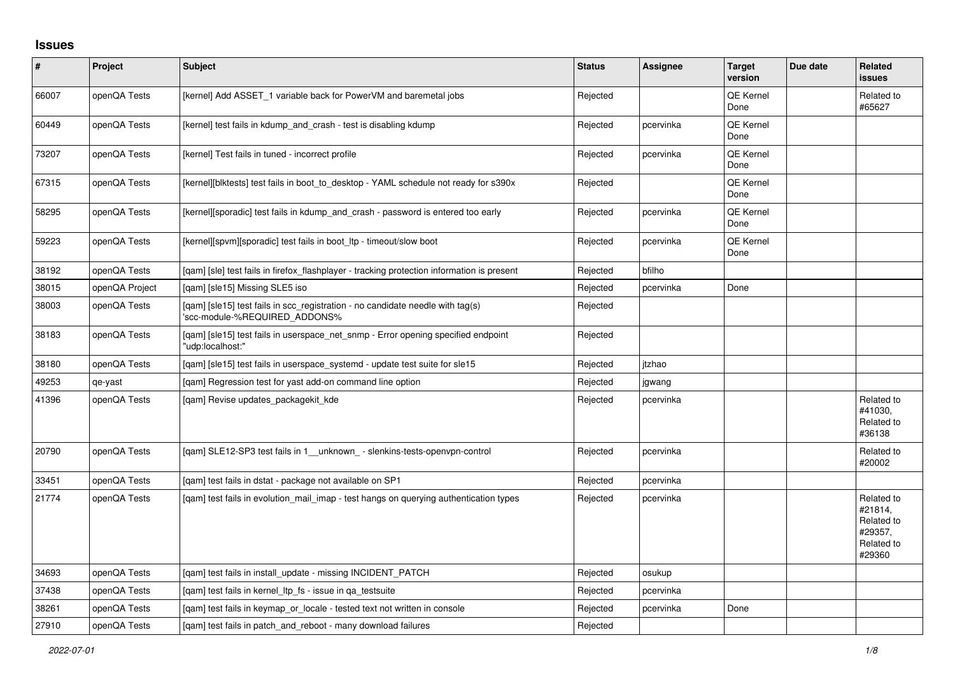## **Issues**

| #     | Project        | Subject                                                                                                         | <b>Status</b> | Assignee  | <b>Target</b><br>version | Due date | <b>Related</b><br>issues                                               |
|-------|----------------|-----------------------------------------------------------------------------------------------------------------|---------------|-----------|--------------------------|----------|------------------------------------------------------------------------|
| 66007 | openQA Tests   | [kernel] Add ASSET 1 variable back for PowerVM and baremetal jobs                                               | Rejected      |           | QE Kernel<br>Done        |          | Related to<br>#65627                                                   |
| 60449 | openQA Tests   | [kernel] test fails in kdump and crash - test is disabling kdump                                                | Rejected      | pcervinka | <b>QE Kernel</b><br>Done |          |                                                                        |
| 73207 | openQA Tests   | [kernel] Test fails in tuned - incorrect profile                                                                | Rejected      | pcervinka | QE Kernel<br>Done        |          |                                                                        |
| 67315 | openQA Tests   | [kernel][blktests] test fails in boot to desktop - YAML schedule not ready for s390x                            | Rejected      |           | <b>QE Kernel</b><br>Done |          |                                                                        |
| 58295 | openQA Tests   | [kernel][sporadic] test fails in kdump and crash - password is entered too early                                | Rejected      | pcervinka | QE Kernel<br>Done        |          |                                                                        |
| 59223 | openQA Tests   | [kernel][spvm][sporadic] test fails in boot_ltp - timeout/slow boot                                             | Rejected      | pcervinka | QE Kernel<br>Done        |          |                                                                        |
| 38192 | openQA Tests   | [qam] [sle] test fails in firefox_flashplayer - tracking protection information is present                      | Rejected      | bfilho    |                          |          |                                                                        |
| 38015 | openQA Project | [qam] [sle15] Missing SLE5 iso                                                                                  | Rejected      | pcervinka | Done                     |          |                                                                        |
| 38003 | openQA Tests   | [qam] [sle15] test fails in scc_registration - no candidate needle with tag(s)<br>'scc-module-%REQUIRED_ADDONS% | Rejected      |           |                          |          |                                                                        |
| 38183 | openQA Tests   | [gam] [sle15] test fails in userspace net snmp - Error opening specified endpoint<br>"udp:localhost:"           | Rejected      |           |                          |          |                                                                        |
| 38180 | openQA Tests   | [qam] [sle15] test fails in userspace_systemd - update test suite for sle15                                     | Rejected      | itzhao    |                          |          |                                                                        |
| 49253 | qe-yast        | [gam] Regression test for yast add-on command line option                                                       | Rejected      | jgwang    |                          |          |                                                                        |
| 41396 | openQA Tests   | [qam] Revise updates_packagekit_kde                                                                             | Rejected      | pcervinka |                          |          | Related to<br>#41030,<br>Related to<br>#36138                          |
| 20790 | openQA Tests   | [qam] SLE12-SP3 test fails in 1__unknown_ - slenkins-tests-openvpn-control                                      | Rejected      | pcervinka |                          |          | Related to<br>#20002                                                   |
| 33451 | openQA Tests   | [gam] test fails in dstat - package not available on SP1                                                        | Rejected      | pcervinka |                          |          |                                                                        |
| 21774 | openQA Tests   | [gam] test fails in evolution mail imap - test hangs on querying authentication types                           | Rejected      | pcervinka |                          |          | Related to<br>#21814,<br>Related to<br>#29357,<br>Related to<br>#29360 |
| 34693 | openQA Tests   | [gam] test fails in install update - missing INCIDENT PATCH                                                     | Rejected      | osukup    |                          |          |                                                                        |
| 37438 | openQA Tests   | [gam] test fails in kernel Itp fs - issue in ga testsuite                                                       | Rejected      | pcervinka |                          |          |                                                                        |
| 38261 | openQA Tests   | [qam] test fails in keymap_or_locale - tested text not written in console                                       | Rejected      | pcervinka | Done                     |          |                                                                        |
| 27910 | openQA Tests   | [gam] test fails in patch and reboot - many download failures                                                   | Rejected      |           |                          |          |                                                                        |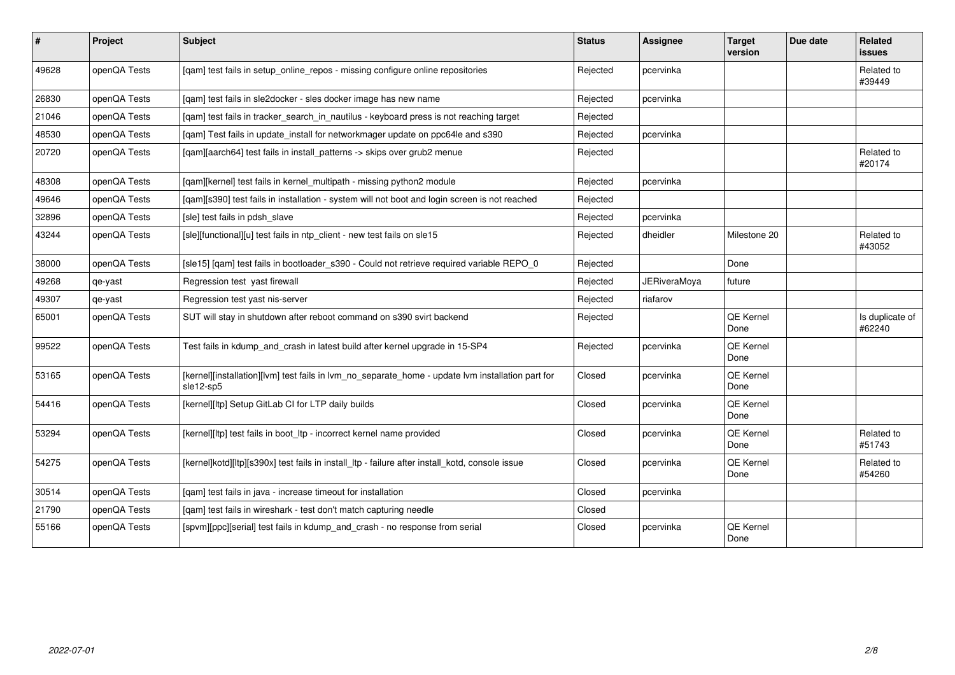| #     | Project      | <b>Subject</b>                                                                                                 | <b>Status</b> | Assignee            | <b>Target</b><br>version | Due date | Related<br>issues         |
|-------|--------------|----------------------------------------------------------------------------------------------------------------|---------------|---------------------|--------------------------|----------|---------------------------|
| 49628 | openQA Tests | [qam] test fails in setup_online_repos - missing configure online repositories                                 | Rejected      | pcervinka           |                          |          | Related to<br>#39449      |
| 26830 | openQA Tests | [qam] test fails in sle2docker - sles docker image has new name                                                | Rejected      | pcervinka           |                          |          |                           |
| 21046 | openQA Tests | [qam] test fails in tracker_search_in_nautilus - keyboard press is not reaching target                         | Rejected      |                     |                          |          |                           |
| 48530 | openQA Tests | [qam] Test fails in update_install for networkmager update on ppc64le and s390                                 | Rejected      | pcervinka           |                          |          |                           |
| 20720 | openQA Tests | [qam][aarch64] test fails in install_patterns -> skips over grub2 menue                                        | Rejected      |                     |                          |          | Related to<br>#20174      |
| 48308 | openQA Tests | [qam][kernel] test fails in kernel_multipath - missing python2 module                                          | Rejected      | pcervinka           |                          |          |                           |
| 49646 | openQA Tests | [qam][s390] test fails in installation - system will not boot and login screen is not reached                  | Rejected      |                     |                          |          |                           |
| 32896 | openQA Tests | [sle] test fails in pdsh slave                                                                                 | Rejected      | pcervinka           |                          |          |                           |
| 43244 | openQA Tests | [sle][functional][u] test fails in ntp_client - new test fails on sle15                                        | Rejected      | dheidler            | Milestone 20             |          | Related to<br>#43052      |
| 38000 | openQA Tests | [sle15] [qam] test fails in bootloader_s390 - Could not retrieve required variable REPO_0                      | Rejected      |                     | Done                     |          |                           |
| 49268 | qe-yast      | Regression test yast firewall                                                                                  | Rejected      | <b>JERiveraMova</b> | future                   |          |                           |
| 49307 | qe-yast      | Regression test yast nis-server                                                                                | Rejected      | riafarov            |                          |          |                           |
| 65001 | openQA Tests | SUT will stay in shutdown after reboot command on s390 svirt backend                                           | Rejected      |                     | QE Kernel<br>Done        |          | Is duplicate of<br>#62240 |
| 99522 | openQA Tests | Test fails in kdump_and_crash in latest build after kernel upgrade in 15-SP4                                   | Rejected      | pcervinka           | QE Kernel<br>Done        |          |                           |
| 53165 | openQA Tests | [kernel][installation][lvm] test fails in lvm_no_separate_home - update lvm installation part for<br>sle12-sp5 | Closed        | pcervinka           | QE Kernel<br>Done        |          |                           |
| 54416 | openQA Tests | [kernel][ltp] Setup GitLab CI for LTP daily builds                                                             | Closed        | pcervinka           | QE Kernel<br>Done        |          |                           |
| 53294 | openQA Tests | [kernel][ltp] test fails in boot_ltp - incorrect kernel name provided                                          | Closed        | pcervinka           | QE Kernel<br>Done        |          | Related to<br>#51743      |
| 54275 | openQA Tests | [kernel]kotd][ltp][s390x] test fails in install_ltp - failure after install_kotd, console issue                | Closed        | pcervinka           | QE Kernel<br>Done        |          | Related to<br>#54260      |
| 30514 | openQA Tests | [qam] test fails in java - increase timeout for installation                                                   | Closed        | pcervinka           |                          |          |                           |
| 21790 | openQA Tests | [gam] test fails in wireshark - test don't match capturing needle                                              | Closed        |                     |                          |          |                           |
| 55166 | openQA Tests | [spvm][ppc][serial] test fails in kdump_and_crash - no response from serial                                    | Closed        | pcervinka           | QE Kernel<br>Done        |          |                           |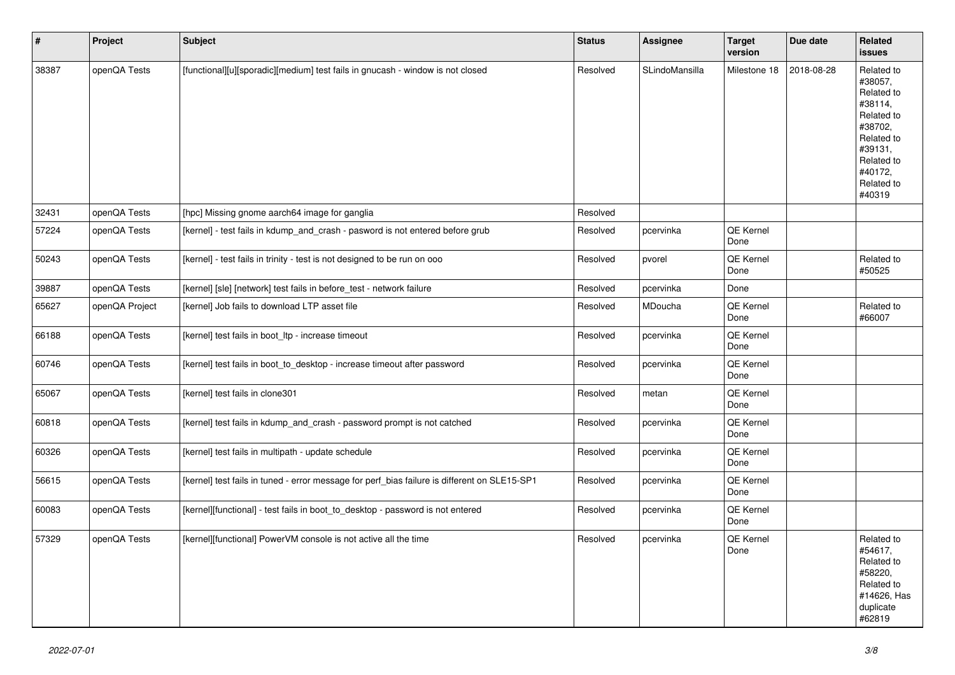| $\vert$ # | Project        | <b>Subject</b>                                                                               | <b>Status</b> | Assignee       | <b>Target</b><br>version | Due date   | Related<br><b>issues</b>                                                                                                                          |
|-----------|----------------|----------------------------------------------------------------------------------------------|---------------|----------------|--------------------------|------------|---------------------------------------------------------------------------------------------------------------------------------------------------|
| 38387     | openQA Tests   | [functional][u][sporadic][medium] test fails in gnucash - window is not closed               | Resolved      | SLindoMansilla | Milestone 18             | 2018-08-28 | Related to<br>#38057,<br>Related to<br>#38114,<br>Related to<br>#38702,<br>Related to<br>#39131,<br>Related to<br>#40172,<br>Related to<br>#40319 |
| 32431     | openQA Tests   | [hpc] Missing gnome aarch64 image for ganglia                                                | Resolved      |                |                          |            |                                                                                                                                                   |
| 57224     | openQA Tests   | [kernel] - test fails in kdump and crash - pasword is not entered before grub                | Resolved      | pcervinka      | QE Kernel<br>Done        |            |                                                                                                                                                   |
| 50243     | openQA Tests   | [kernel] - test fails in trinity - test is not designed to be run on ooo                     | Resolved      | pvorel         | QE Kernel<br>Done        |            | Related to<br>#50525                                                                                                                              |
| 39887     | openQA Tests   | [kernel] [sle] [network] test fails in before_test - network failure                         | Resolved      | pcervinka      | Done                     |            |                                                                                                                                                   |
| 65627     | openQA Project | [kernel] Job fails to download LTP asset file                                                | Resolved      | MDoucha        | QE Kernel<br>Done        |            | Related to<br>#66007                                                                                                                              |
| 66188     | openQA Tests   | [kernel] test fails in boot_ltp - increase timeout                                           | Resolved      | pcervinka      | QE Kernel<br>Done        |            |                                                                                                                                                   |
| 60746     | openQA Tests   | [kernel] test fails in boot_to_desktop - increase timeout after password                     | Resolved      | pcervinka      | QE Kernel<br>Done        |            |                                                                                                                                                   |
| 65067     | openQA Tests   | [kernel] test fails in clone301                                                              | Resolved      | metan          | QE Kernel<br>Done        |            |                                                                                                                                                   |
| 60818     | openQA Tests   | [kernel] test fails in kdump_and_crash - password prompt is not catched                      | Resolved      | pcervinka      | QE Kernel<br>Done        |            |                                                                                                                                                   |
| 60326     | openQA Tests   | [kernel] test fails in multipath - update schedule                                           | Resolved      | pcervinka      | QE Kernel<br>Done        |            |                                                                                                                                                   |
| 56615     | openQA Tests   | [kernel] test fails in tuned - error message for perf bias failure is different on SLE15-SP1 | Resolved      | pcervinka      | QE Kernel<br>Done        |            |                                                                                                                                                   |
| 60083     | openQA Tests   | [kernel][functional] - test fails in boot_to_desktop - password is not entered               | Resolved      | pcervinka      | QE Kernel<br>Done        |            |                                                                                                                                                   |
| 57329     | openQA Tests   | [kernel][functional] PowerVM console is not active all the time                              | Resolved      | pcervinka      | QE Kernel<br>Done        |            | Related to<br>#54617.<br>Related to<br>#58220,<br>Related to<br>#14626, Has<br>duplicate<br>#62819                                                |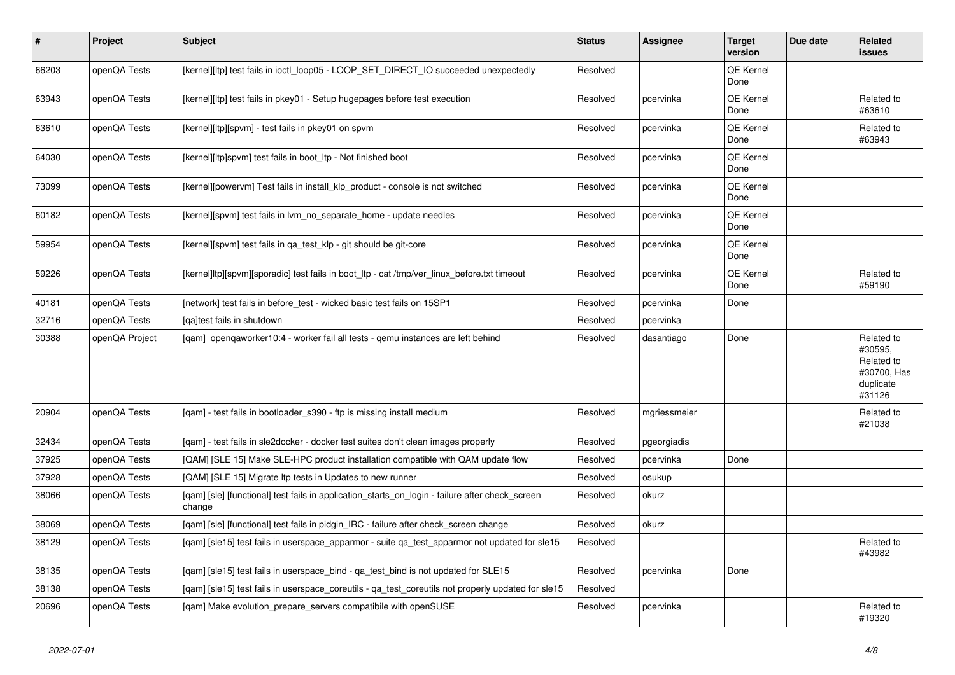| $\vert$ # | Project        | <b>Subject</b>                                                                                            | <b>Status</b> | <b>Assignee</b> | <b>Target</b><br>version | Due date | Related<br>issues                                                         |
|-----------|----------------|-----------------------------------------------------------------------------------------------------------|---------------|-----------------|--------------------------|----------|---------------------------------------------------------------------------|
| 66203     | openQA Tests   | [kernel][ltp] test fails in ioctl_loop05 - LOOP_SET_DIRECT_IO succeeded unexpectedly                      | Resolved      |                 | QE Kernel<br>Done        |          |                                                                           |
| 63943     | openQA Tests   | [kernel][ltp] test fails in pkey01 - Setup hugepages before test execution                                | Resolved      | pcervinka       | <b>QE Kernel</b><br>Done |          | Related to<br>#63610                                                      |
| 63610     | openQA Tests   | [kernel][ltp][spvm] - test fails in pkey01 on spvm                                                        | Resolved      | pcervinka       | QE Kernel<br>Done        |          | Related to<br>#63943                                                      |
| 64030     | openQA Tests   | [kernel][ltp]spvm] test fails in boot Itp - Not finished boot                                             | Resolved      | pcervinka       | QE Kernel<br>Done        |          |                                                                           |
| 73099     | openQA Tests   | [kernel][powervm] Test fails in install_klp_product - console is not switched                             | Resolved      | pcervinka       | <b>QE Kernel</b><br>Done |          |                                                                           |
| 60182     | openQA Tests   | [kernel][spvm] test fails in lvm no separate home - update needles                                        | Resolved      | pcervinka       | QE Kernel<br>Done        |          |                                                                           |
| 59954     | openQA Tests   | [kernel][spvm] test fails in qa_test_klp - git should be git-core                                         | Resolved      | pcervinka       | QE Kernel<br>Done        |          |                                                                           |
| 59226     | openQA Tests   | [kernel]ltp][spvm][sporadic] test fails in boot ltp - cat /tmp/ver linux before.txt timeout               | Resolved      | pcervinka       | <b>QE Kernel</b><br>Done |          | Related to<br>#59190                                                      |
| 40181     | openQA Tests   | [network] test fails in before test - wicked basic test fails on 15SP1                                    | Resolved      | pcervinka       | Done                     |          |                                                                           |
| 32716     | openQA Tests   | [ga]test fails in shutdown                                                                                | Resolved      | pcervinka       |                          |          |                                                                           |
| 30388     | openQA Project | [gam] opengaworker10:4 - worker fail all tests - gemu instances are left behind                           | Resolved      | dasantiago      | Done                     |          | Related to<br>#30595,<br>Related to<br>#30700, Has<br>duplicate<br>#31126 |
| 20904     | openQA Tests   | [qam] - test fails in bootloader_s390 - ftp is missing install medium                                     | Resolved      | mgriessmeier    |                          |          | Related to<br>#21038                                                      |
| 32434     | openQA Tests   | [qam] - test fails in sle2docker - docker test suites don't clean images properly                         | Resolved      | pgeorgiadis     |                          |          |                                                                           |
| 37925     | openQA Tests   | [QAM] [SLE 15] Make SLE-HPC product installation compatible with QAM update flow                          | Resolved      | pcervinka       | Done                     |          |                                                                           |
| 37928     | openQA Tests   | [QAM] [SLE 15] Migrate Itp tests in Updates to new runner                                                 | Resolved      | osukup          |                          |          |                                                                           |
| 38066     | openQA Tests   | [gam] [sle] [functional] test fails in application_starts_on_login - failure after check_screen<br>change | Resolved      | okurz           |                          |          |                                                                           |
| 38069     | openQA Tests   | [qam] [sle] [functional] test fails in pidgin_IRC - failure after check_screen change                     | Resolved      | okurz           |                          |          |                                                                           |
| 38129     | openQA Tests   | [qam] [sle15] test fails in userspace_apparmor - suite qa_test_apparmor not updated for sle15             | Resolved      |                 |                          |          | Related to<br>#43982                                                      |
| 38135     | openQA Tests   | [qam] [sle15] test fails in userspace_bind - qa_test_bind is not updated for SLE15                        | Resolved      | pcervinka       | Done                     |          |                                                                           |
| 38138     | openQA Tests   | [gam] [sle15] test fails in userspace coreutils - ga test coreutils not properly updated for sle15        | Resolved      |                 |                          |          |                                                                           |
| 20696     | openQA Tests   | [qam] Make evolution_prepare_servers compatibile with openSUSE                                            | Resolved      | pcervinka       |                          |          | Related to<br>#19320                                                      |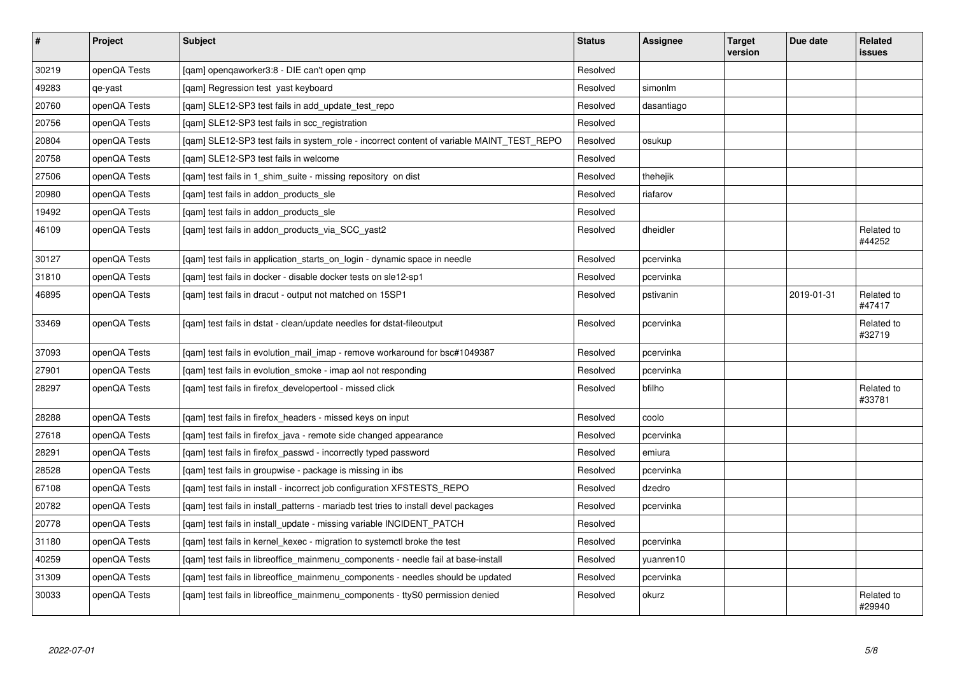| $\sharp$ | Project      | <b>Subject</b>                                                                            | <b>Status</b> | <b>Assignee</b> | <b>Target</b><br>version | Due date   | Related<br>issues    |
|----------|--------------|-------------------------------------------------------------------------------------------|---------------|-----------------|--------------------------|------------|----------------------|
| 30219    | openQA Tests | [qam] openqaworker3:8 - DIE can't open qmp                                                | Resolved      |                 |                          |            |                      |
| 49283    | qe-yast      | [gam] Regression test yast keyboard                                                       | Resolved      | simonlm         |                          |            |                      |
| 20760    | openQA Tests | [gam] SLE12-SP3 test fails in add update test repo                                        | Resolved      | dasantiago      |                          |            |                      |
| 20756    | openQA Tests | [qam] SLE12-SP3 test fails in scc_registration                                            | Resolved      |                 |                          |            |                      |
| 20804    | openQA Tests | [gam] SLE12-SP3 test fails in system_role - incorrect content of variable MAINT_TEST_REPO | Resolved      | osukup          |                          |            |                      |
| 20758    | openQA Tests | [gam] SLE12-SP3 test fails in welcome                                                     | Resolved      |                 |                          |            |                      |
| 27506    | openQA Tests | [qam] test fails in 1_shim_suite - missing repository on dist                             | Resolved      | thehejik        |                          |            |                      |
| 20980    | openQA Tests | [qam] test fails in addon_products_sle                                                    | Resolved      | riafarov        |                          |            |                      |
| 19492    | openQA Tests | [gam] test fails in addon products sle                                                    | Resolved      |                 |                          |            |                      |
| 46109    | openQA Tests | [qam] test fails in addon_products_via_SCC_yast2                                          | Resolved      | dheidler        |                          |            | Related to<br>#44252 |
| 30127    | openQA Tests | [gam] test fails in application starts on login - dynamic space in needle                 | Resolved      | pcervinka       |                          |            |                      |
| 31810    | openQA Tests | [gam] test fails in docker - disable docker tests on sle12-sp1                            | Resolved      | pcervinka       |                          |            |                      |
| 46895    | openQA Tests | [gam] test fails in dracut - output not matched on 15SP1                                  | Resolved      | pstivanin       |                          | 2019-01-31 | Related to<br>#47417 |
| 33469    | openQA Tests | [qam] test fails in dstat - clean/update needles for dstat-fileoutput                     | Resolved      | pcervinka       |                          |            | Related to<br>#32719 |
| 37093    | openQA Tests | [gam] test fails in evolution mail imap - remove workaround for bsc#1049387               | Resolved      | pcervinka       |                          |            |                      |
| 27901    | openQA Tests | [gam] test fails in evolution smoke - imap aol not responding                             | Resolved      | pcervinka       |                          |            |                      |
| 28297    | openQA Tests | [qam] test fails in firefox_developertool - missed click                                  | Resolved      | bfilho          |                          |            | Related to<br>#33781 |
| 28288    | openQA Tests | [gam] test fails in firefox headers - missed keys on input                                | Resolved      | coolo           |                          |            |                      |
| 27618    | openQA Tests | [gam] test fails in firefox_java - remote side changed appearance                         | Resolved      | pcervinka       |                          |            |                      |
| 28291    | openQA Tests | [gam] test fails in firefox passwd - incorrectly typed password                           | Resolved      | emiura          |                          |            |                      |
| 28528    | openQA Tests | [qam] test fails in groupwise - package is missing in ibs                                 | Resolved      | pcervinka       |                          |            |                      |
| 67108    | openQA Tests | [qam] test fails in install - incorrect job configuration XFSTESTS_REPO                   | Resolved      | dzedro          |                          |            |                      |
| 20782    | openQA Tests | [gam] test fails in install patterns - mariadb test tries to install devel packages       | Resolved      | pcervinka       |                          |            |                      |
| 20778    | openQA Tests | [qam] test fails in install_update - missing variable INCIDENT_PATCH                      | Resolved      |                 |                          |            |                      |
| 31180    | openQA Tests | [qam] test fails in kernel_kexec - migration to systemctl broke the test                  | Resolved      | pcervinka       |                          |            |                      |
| 40259    | openQA Tests | [gam] test fails in libreoffice mainmenu components - needle fail at base-install         | Resolved      | yuanren10       |                          |            |                      |
| 31309    | openQA Tests | [qam] test fails in libreoffice_mainmenu_components - needles should be updated           | Resolved      | pcervinka       |                          |            |                      |
| 30033    | openQA Tests | [gam] test fails in libreoffice mainmenu components - ttyS0 permission denied             | Resolved      | okurz           |                          |            | Related to<br>#29940 |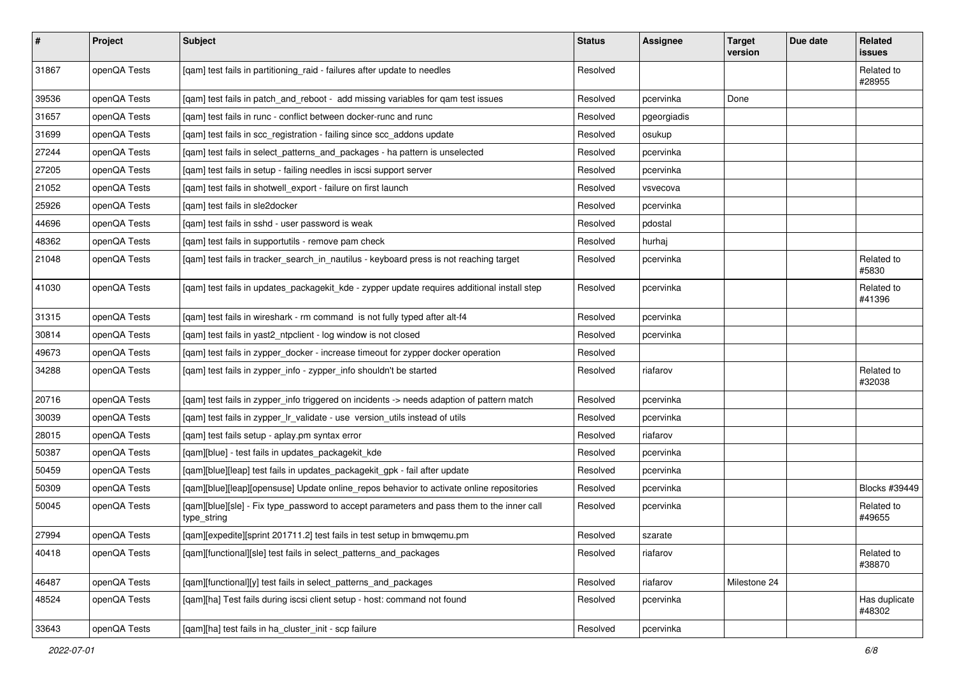| $\vert$ # | Project      | <b>Subject</b>                                                                                           | <b>Status</b> | Assignee    | <b>Target</b><br>version | Due date | Related<br><b>issues</b> |
|-----------|--------------|----------------------------------------------------------------------------------------------------------|---------------|-------------|--------------------------|----------|--------------------------|
| 31867     | openQA Tests | [qam] test fails in partitioning_raid - failures after update to needles                                 | Resolved      |             |                          |          | Related to<br>#28955     |
| 39536     | openQA Tests | [qam] test fails in patch_and_reboot - add missing variables for qam test issues                         | Resolved      | pcervinka   | Done                     |          |                          |
| 31657     | openQA Tests | [qam] test fails in runc - conflict between docker-runc and runc                                         | Resolved      | pgeorgiadis |                          |          |                          |
| 31699     | openQA Tests | [qam] test fails in scc_registration - failing since scc_addons update                                   | Resolved      | osukup      |                          |          |                          |
| 27244     | openQA Tests | [qam] test fails in select_patterns_and_packages - ha pattern is unselected                              | Resolved      | pcervinka   |                          |          |                          |
| 27205     | openQA Tests | [qam] test fails in setup - failing needles in iscsi support server                                      | Resolved      | pcervinka   |                          |          |                          |
| 21052     | openQA Tests | [qam] test fails in shotwell_export - failure on first launch                                            | Resolved      | vsvecova    |                          |          |                          |
| 25926     | openQA Tests | [qam] test fails in sle2docker                                                                           | Resolved      | pcervinka   |                          |          |                          |
| 44696     | openQA Tests | [gam] test fails in sshd - user password is weak                                                         | Resolved      | pdostal     |                          |          |                          |
| 48362     | openQA Tests | [qam] test fails in supportutils - remove pam check                                                      | Resolved      | hurhaj      |                          |          |                          |
| 21048     | openQA Tests | [qam] test fails in tracker_search_in_nautilus - keyboard press is not reaching target                   | Resolved      | pcervinka   |                          |          | Related to<br>#5830      |
| 41030     | openQA Tests | [qam] test fails in updates_packagekit_kde - zypper update requires additional install step              | Resolved      | pcervinka   |                          |          | Related to<br>#41396     |
| 31315     | openQA Tests | [gam] test fails in wireshark - rm command is not fully typed after alt-f4                               | Resolved      | pcervinka   |                          |          |                          |
| 30814     | openQA Tests | [qam] test fails in yast2_ntpclient - log window is not closed                                           | Resolved      | pcervinka   |                          |          |                          |
| 49673     | openQA Tests | [gam] test fails in zypper docker - increase timeout for zypper docker operation                         | Resolved      |             |                          |          |                          |
| 34288     | openQA Tests | [qam] test fails in zypper_info - zypper_info shouldn't be started                                       | Resolved      | riafarov    |                          |          | Related to<br>#32038     |
| 20716     | openQA Tests | [qam] test fails in zypper_info triggered on incidents -> needs adaption of pattern match                | Resolved      | pcervinka   |                          |          |                          |
| 30039     | openQA Tests | [qam] test fails in zypper_lr_validate - use version_utils instead of utils                              | Resolved      | pcervinka   |                          |          |                          |
| 28015     | openQA Tests | [qam] test fails setup - aplay.pm syntax error                                                           | Resolved      | riafarov    |                          |          |                          |
| 50387     | openQA Tests | [qam][blue] - test fails in updates_packagekit_kde                                                       | Resolved      | pcervinka   |                          |          |                          |
| 50459     | openQA Tests | [qam][blue][leap] test fails in updates_packagekit_gpk - fail after update                               | Resolved      | pcervinka   |                          |          |                          |
| 50309     | openQA Tests | [qam][blue][leap][opensuse] Update online_repos behavior to activate online repositories                 | Resolved      | pcervinka   |                          |          | Blocks #39449            |
| 50045     | openQA Tests | [qam][blue][sle] - Fix type_password to accept parameters and pass them to the inner call<br>type_string | Resolved      | pcervinka   |                          |          | Related to<br>#49655     |
| 27994     | openQA Tests | [qam][expedite][sprint 201711.2] test fails in test setup in bmwqemu.pm                                  | Resolved      | szarate     |                          |          |                          |
| 40418     | openQA Tests | [gam][functional][sle] test fails in select patterns and packages                                        | Resolved      | riafarov    |                          |          | Related to<br>#38870     |
| 46487     | openQA Tests | [qam][functional][y] test fails in select_patterns_and_packages                                          | Resolved      | riafarov    | Milestone 24             |          |                          |
| 48524     | openQA Tests | [qam][ha] Test fails during iscsi client setup - host: command not found                                 | Resolved      | pcervinka   |                          |          | Has duplicate<br>#48302  |
| 33643     | openQA Tests | [qam][ha] test fails in ha_cluster_init - scp failure                                                    | Resolved      | pcervinka   |                          |          |                          |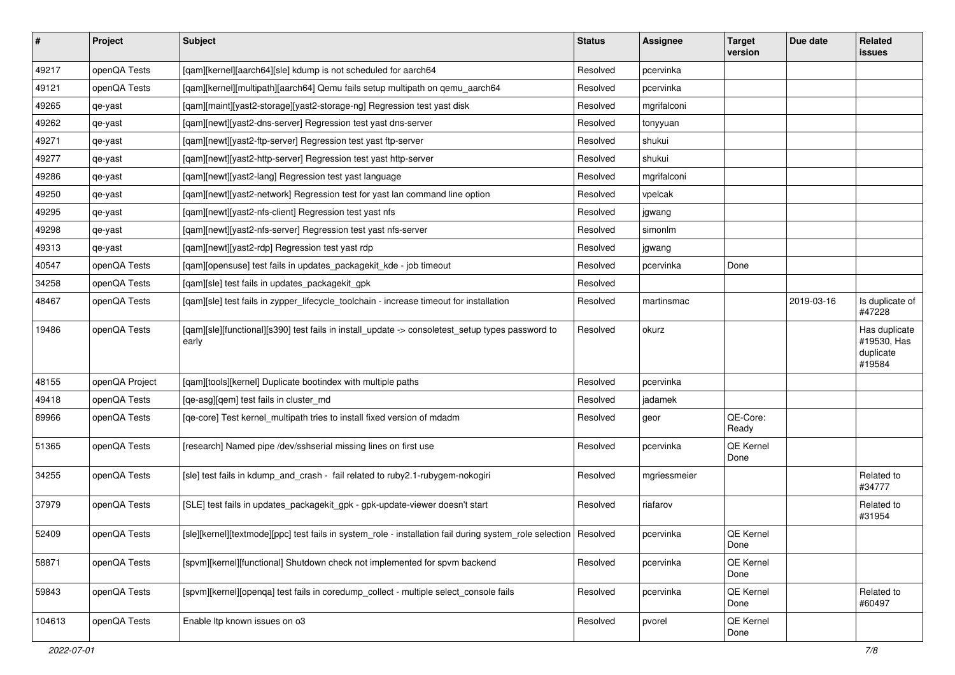| $\vert$ # | Project        | <b>Subject</b>                                                                                                     | <b>Status</b> | <b>Assignee</b> | <b>Target</b><br>version | Due date   | Related<br>issues                                   |
|-----------|----------------|--------------------------------------------------------------------------------------------------------------------|---------------|-----------------|--------------------------|------------|-----------------------------------------------------|
| 49217     | openQA Tests   | [qam][kernel][aarch64][sle] kdump is not scheduled for aarch64                                                     | Resolved      | pcervinka       |                          |            |                                                     |
| 49121     | openQA Tests   | [qam][kernel][multipath][aarch64] Qemu fails setup multipath on qemu_aarch64                                       | Resolved      | pcervinka       |                          |            |                                                     |
| 49265     | qe-yast        | [qam][maint][yast2-storage][yast2-storage-ng] Regression test yast disk                                            | Resolved      | mgrifalconi     |                          |            |                                                     |
| 49262     | qe-yast        | [qam][newt][yast2-dns-server] Regression test yast dns-server                                                      | Resolved      | tonyyuan        |                          |            |                                                     |
| 49271     | qe-yast        | [qam][newt][yast2-ftp-server] Regression test yast ftp-server                                                      | Resolved      | shukui          |                          |            |                                                     |
| 49277     | qe-yast        | [qam][newt][yast2-http-server] Regression test yast http-server                                                    | Resolved      | shukui          |                          |            |                                                     |
| 49286     | qe-yast        | [qam][newt][yast2-lang] Regression test yast language                                                              | Resolved      | mgrifalconi     |                          |            |                                                     |
| 49250     | qe-yast        | [qam][newt][yast2-network] Regression test for yast lan command line option                                        | Resolved      | vpelcak         |                          |            |                                                     |
| 49295     | qe-yast        | [qam][newt][yast2-nfs-client] Regression test yast nfs                                                             | Resolved      | jgwang          |                          |            |                                                     |
| 49298     | qe-yast        | [qam][newt][yast2-nfs-server] Regression test yast nfs-server                                                      | Resolved      | simonlm         |                          |            |                                                     |
| 49313     | qe-yast        | [qam][newt][yast2-rdp] Regression test yast rdp                                                                    | Resolved      | jgwang          |                          |            |                                                     |
| 40547     | openQA Tests   | [gam][opensuse] test fails in updates packagekit kde - job timeout                                                 | Resolved      | pcervinka       | Done                     |            |                                                     |
| 34258     | openQA Tests   | [qam][sle] test fails in updates_packagekit_gpk                                                                    | Resolved      |                 |                          |            |                                                     |
| 48467     | openQA Tests   | [qam][sle] test fails in zypper_lifecycle_toolchain - increase timeout for installation                            | Resolved      | martinsmac      |                          | 2019-03-16 | Is duplicate of<br>#47228                           |
| 19486     | openQA Tests   | [qam][sle][functional][s390] test fails in install_update -> consoletest_setup types password to<br>early          | Resolved      | okurz           |                          |            | Has duplicate<br>#19530, Has<br>duplicate<br>#19584 |
| 48155     | openQA Project | [qam][tools][kernel] Duplicate bootindex with multiple paths                                                       | Resolved      | pcervinka       |                          |            |                                                     |
| 49418     | openQA Tests   | [qe-asg][qem] test fails in cluster_md                                                                             | Resolved      | jadamek         |                          |            |                                                     |
| 89966     | openQA Tests   | [qe-core] Test kernel_multipath tries to install fixed version of mdadm                                            | Resolved      | geor            | QE-Core:<br>Ready        |            |                                                     |
| 51365     | openQA Tests   | [research] Named pipe /dev/sshserial missing lines on first use                                                    | Resolved      | pcervinka       | QE Kernel<br>Done        |            |                                                     |
| 34255     | openQA Tests   | [sle] test fails in kdump_and_crash - fail related to ruby2.1-rubygem-nokogiri                                     | Resolved      | mgriessmeier    |                          |            | Related to<br>#34777                                |
| 37979     | openQA Tests   | [SLE] test fails in updates_packagekit_gpk - gpk-update-viewer doesn't start                                       | Resolved      | riafarov        |                          |            | Related to<br>#31954                                |
| 52409     | openQA Tests   | [sle][kernel][textmode][ppc] test fails in system_role - installation fail during system_role selection   Resolved |               | pcervinka       | QE Kernel<br>Done        |            |                                                     |
| 58871     | openQA Tests   | [spvm][kernel][functional] Shutdown check not implemented for spvm backend                                         | Resolved      | pcervinka       | QE Kernel<br>Done        |            |                                                     |
| 59843     | openQA Tests   | [spvm][kernel][openqa] test fails in coredump_collect - multiple select_console fails                              | Resolved      | pcervinka       | QE Kernel<br>Done        |            | Related to<br>#60497                                |
| 104613    | openQA Tests   | Enable Itp known issues on o3                                                                                      | Resolved      | pvorel          | QE Kernel<br>Done        |            |                                                     |